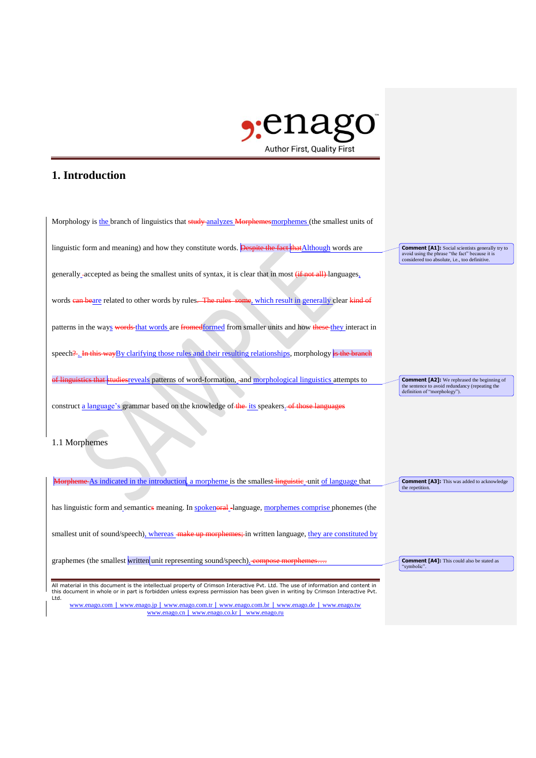

## **1. Introduction**

| Morphology is the branch of linguistics that study-analyzes Morphemes morphemes (the smallest units of                                                                                                                                                                                                                                                                          |                                                                                                                                                              |
|---------------------------------------------------------------------------------------------------------------------------------------------------------------------------------------------------------------------------------------------------------------------------------------------------------------------------------------------------------------------------------|--------------------------------------------------------------------------------------------------------------------------------------------------------------|
| linguistic form and meaning) and how they constitute words. Despite the fact that Although words are                                                                                                                                                                                                                                                                            | <b>Comment [A1]:</b> Social scientists generally try to<br>avoid using the phrase "the fact" because it is<br>considered too absolute, i.e., too definitive. |
| generally accepted as being the smallest units of syntax, it is clear that in most (if not all) languages,                                                                                                                                                                                                                                                                      |                                                                                                                                                              |
| words ean beare related to other words by rules. The rules some, which result in generally clear kind of                                                                                                                                                                                                                                                                        |                                                                                                                                                              |
| patterns in the ways words that words are fromedformed from smaller units and how these they interact in                                                                                                                                                                                                                                                                        |                                                                                                                                                              |
| speech?- In this way By clarifying those rules and their resulting relationships, morphology is the branch                                                                                                                                                                                                                                                                      |                                                                                                                                                              |
| of linguistics that studies reveals patterns of word-formation, -and morphological linguistics attempts to                                                                                                                                                                                                                                                                      | <b>Comment [A2]:</b> We rephrased the beginning of<br>the sentence to avoid redundancy (repeating the<br>definition of "morphology").                        |
| construct a language's grammar based on the knowledge of the its speakers. of those languages                                                                                                                                                                                                                                                                                   |                                                                                                                                                              |
| 1.1 Morphemes                                                                                                                                                                                                                                                                                                                                                                   |                                                                                                                                                              |
| Morpheme As indicated in the introduction, a morpheme is the smallest linguistie-unit of language that                                                                                                                                                                                                                                                                          | <b>Comment [A3]:</b> This was added to acknowledge<br>the repetition.                                                                                        |
| has linguistic form and semantics meaning. In spokeneral-language, morphemes comprise phonemes (the                                                                                                                                                                                                                                                                             |                                                                                                                                                              |
| smallest unit of sound/speech), whereas make up morphemes; in written language, they are constituted by                                                                                                                                                                                                                                                                         |                                                                                                                                                              |
| graphemes (the smallest written unit representing sound/speech). compose morphemes.                                                                                                                                                                                                                                                                                             | <b>Comment [A4]:</b> This could also be stated as<br>"symbolic".                                                                                             |
| All material in this document is the intellectual property of Crimson Interactive Pvt. Ltd. The use of information and content in<br>this document in whole or in part is forbidden unless express permission has been given in writing by Crimson Interactive Pvt.<br>Ltd.<br>www.enago.com   www.enago.jp   www.enago.com.tr   www.enago.com.br   www.enago.de   www.enago.tw |                                                                                                                                                              |
| www.enago.cn   www.enago.co.kr   www.enago.ru                                                                                                                                                                                                                                                                                                                                   |                                                                                                                                                              |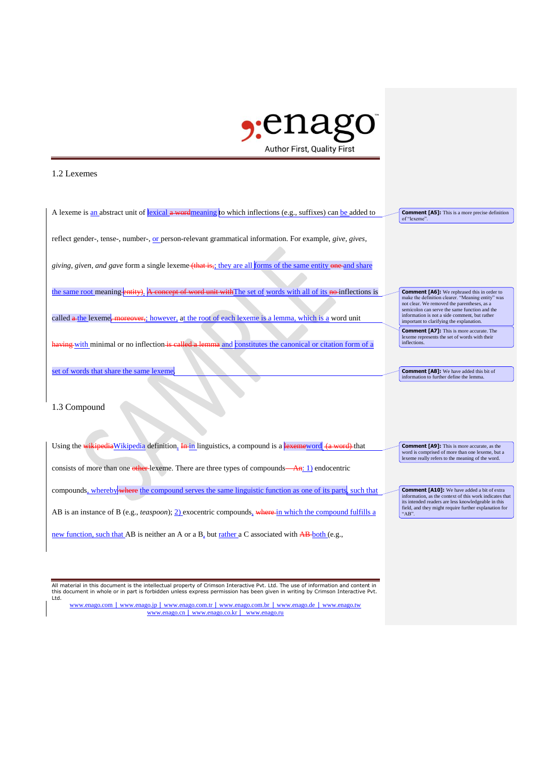

## 1.2 Lexemes

A lexeme is an abstract unit of lexical a wordmeaning to which inflections (e.g., suffixes) can be added to reflect gender-, tense-, number-, or person-relevant grammatical information. For example, *give, gives*, *giving, given, and gave* form a single lexeme (that is,; they are all forms of the same entity one and share the same root meaning entity). A concept of word unit with The set of words with all of its no inflections is called a the lexeme, moreover,; however, at the root of each lexeme is a lemma, which is a word unit having with minimal or no inflection is called a lemma and constitutes the canonical or citation form of a set of words that share the same lexeme. **Comment [A5]:** This is a more precise definition of "lexeme" **Comment [A6]:** We rephrased this in order to make the definition clearer. "Meaning entity" was not clear. We removed the parentheses, as a micolon can serve the same function and the information is not a side comment, but important to clarifying the explanation. **Comment [A7]:** This is more accurate. The lexeme represents the set of words with their inflections. **Comment [A8]:** We have added this bit of information to further define the lemma.

## 1.3 Compound

Using the wikipedia Wikipedia definition, In in linguistics, a compound is a lexemeword (a word) that consists of more than one other lexeme. There are three types of compounds—An: 1) endocentric compounds, whereby where the compound serves the same linguistic function as one of its parts, such that AB is an instance of B (e.g., *teaspoon*); 2) exocentric compounds, where in which the compound fulfills a new function, such that AB is neither an A or a B<sub>a</sub> but rather a C associated with AB-both (e.g., **Comment [A9]:** This is more accurate, as the word is comprised of more than one lexeme, but a lexeme really refers to the meaning of the word. **Comment [A10]:** We have added a bit of extra information, as the context of this work indicates that its intended readers are less knowledgeable in this field, and they might require further explanation for  $"AB"$ 

All material in this document is the intellectual property of Crimson Interactive Pvt. Ltd. The use of information and content in this document in whole or in part is forbidden unless express permission has been given in writing by Crimson Interactive Pvt. Ltd.

www.enago.com | www.enago.jp | www.enago.com.tr | www.enago.com.br | www.enago.de | www.enago.tw www.enago.cn | www.enago.co.kr | www.enago.ru